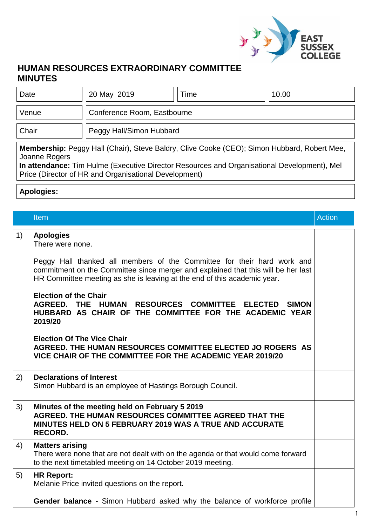

## **HUMAN RESOURCES EXTRAORDINARY COMMITTEE MINUTES**

| Date                                                                                                                                                                                                               | 20 May 2019                 | Time | 10.00 |  |  |
|--------------------------------------------------------------------------------------------------------------------------------------------------------------------------------------------------------------------|-----------------------------|------|-------|--|--|
| Venue                                                                                                                                                                                                              | Conference Room, Eastbourne |      |       |  |  |
| Chair                                                                                                                                                                                                              | Peggy Hall/Simon Hubbard    |      |       |  |  |
| <b>Membership:</b> Peggy Hall (Chair), Steve Baldry, Clive Cooke (CEO); Simon Hubbard, Robert Mee,<br>Joanne Rogers<br>In attendance: Tim Hulme (Executive Director Resources and Organisational Development), Mel |                             |      |       |  |  |

Price (Director of HR and Organisational Development)

## **Apologies:**

|    | Item                                                                                                                                                                                                                                     | <b>Action</b> |
|----|------------------------------------------------------------------------------------------------------------------------------------------------------------------------------------------------------------------------------------------|---------------|
| 1) | <b>Apologies</b><br>There were none.                                                                                                                                                                                                     |               |
|    | Peggy Hall thanked all members of the Committee for their hard work and<br>commitment on the Committee since merger and explained that this will be her last<br>HR Committee meeting as she is leaving at the end of this academic year. |               |
|    | <b>Election of the Chair</b><br>AGREED. THE HUMAN RESOURCES COMMITTEE<br><b>ELECTED SIMON</b><br>HUBBARD AS CHAIR OF THE COMMITTEE FOR THE ACADEMIC YEAR<br>2019/20                                                                      |               |
|    | <b>Election Of The Vice Chair</b><br>AGREED. THE HUMAN RESOURCES COMMITTEE ELECTED JO ROGERS AS<br>VICE CHAIR OF THE COMMITTEE FOR THE ACADEMIC YEAR 2019/20                                                                             |               |
| 2) | <b>Declarations of Interest</b><br>Simon Hubbard is an employee of Hastings Borough Council.                                                                                                                                             |               |
| 3) | Minutes of the meeting held on February 5 2019<br>AGREED. THE HUMAN RESOURCES COMMITTEE AGREED THAT THE<br><b>MINUTES HELD ON 5 FEBRUARY 2019 WAS A TRUE AND ACCURATE</b><br><b>RECORD.</b>                                              |               |
| 4) | <b>Matters arising</b><br>There were none that are not dealt with on the agenda or that would come forward<br>to the next timetabled meeting on 14 October 2019 meeting.                                                                 |               |
| 5) | <b>HR Report:</b><br>Melanie Price invited questions on the report.                                                                                                                                                                      |               |
|    | Gender balance - Simon Hubbard asked why the balance of workforce profile                                                                                                                                                                |               |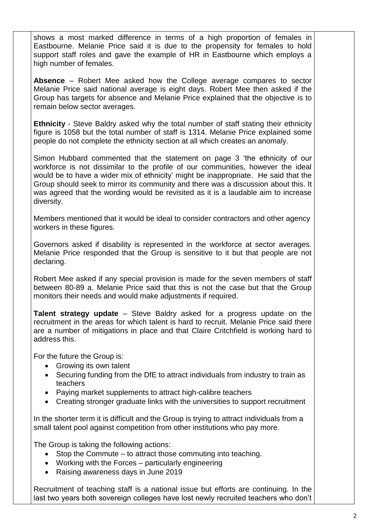shows a most marked difference in terms of a high proportion of females in Eastbourne. Melanie Price said it is due to the propensity for females to hold support staff roles and gave the example of HR in Eastbourne which employs a high number of females.

**Absence** – Robert Mee asked how the College average compares to sector Melanie Price said national average is eight days. Robert Mee then asked if the Group has targets for absence and Melanie Price explained that the objective is to remain below sector averages.

**Ethnicity** - Steve Baldry asked why the total number of staff stating their ethnicity figure is 1058 but the total number of staff is 1314. Melanie Price explained some people do not complete the ethnicity section at all which creates an anomaly.

Simon Hubbard commented that the statement on page 3 'the ethnicity of our workforce is not dissimilar to the profile of our communities, however the ideal would be to have a wider mix of ethnicity' might be inappropriate. He said that the Group should seek to mirror its community and there was a discussion about this. It was agreed that the wording would be revisited as it is a laudable aim to increase diversity.

Members mentioned that it would be ideal to consider contractors and other agency workers in these figures.

Governors asked if disability is represented in the workforce at sector averages. Melanie Price responded that the Group is sensitive to it but that people are not declaring.

Robert Mee asked if any special provision is made for the seven members of staff between 80-89 a. Melanie Price said that this is not the case but that the Group monitors their needs and would make adjustments if required.

**Talent strategy update** – Steve Baldry asked for a progress update on the recruitment in the areas for which talent is hard to recruit. Melanie Price said there are a number of mitigations in place and that Claire Critchfield is working hard to address this.

For the future the Group is:

- Growing its own talent
- Securing funding from the DfE to attract individuals from industry to train as teachers
- Paying market supplements to attract high-calibre teachers
- Creating stronger graduate links with the universities to support recruitment

In the shorter term it is difficult and the Group is trying to attract individuals from a small talent pool against competition from other institutions who pay more.

The Group is taking the following actions:

- $\bullet$  Stop the Commute to attract those commuting into teaching.
- Working with the Forces particularly engineering
- Raising awareness days in June 2019

Recruitment of teaching staff is a national issue but efforts are continuing. In the last two years both sovereign colleges have lost newly recruited teachers who don't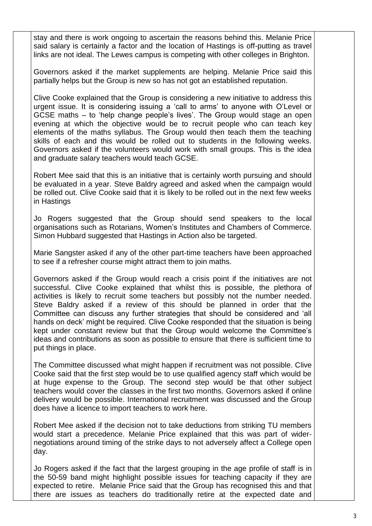stay and there is work ongoing to ascertain the reasons behind this. Melanie Price said salary is certainly a factor and the location of Hastings is off-putting as travel links are not ideal. The Lewes campus is competing with other colleges in Brighton.

Governors asked if the market supplements are helping. Melanie Price said this partially helps but the Group is new so has not got an established reputation.

Clive Cooke explained that the Group is considering a new initiative to address this urgent issue. It is considering issuing a 'call to arms' to anyone with O'Level or GCSE maths – to 'help change people's lives'. The Group would stage an open evening at which the objective would be to recruit people who can teach key elements of the maths syllabus. The Group would then teach them the teaching skills of each and this would be rolled out to students in the following weeks. Governors asked if the volunteers would work with small groups. This is the idea and graduate salary teachers would teach GCSE.

Robert Mee said that this is an initiative that is certainly worth pursuing and should be evaluated in a year. Steve Baldry agreed and asked when the campaign would be rolled out. Clive Cooke said that it is likely to be rolled out in the next few weeks in Hastings

Jo Rogers suggested that the Group should send speakers to the local organisations such as Rotarians, Women's Institutes and Chambers of Commerce. Simon Hubbard suggested that Hastings in Action also be targeted.

Marie Sangster asked if any of the other part-time teachers have been approached to see if a refresher course might attract them to join maths.

Governors asked if the Group would reach a crisis point if the initiatives are not successful. Clive Cooke explained that whilst this is possible, the plethora of activities is likely to recruit some teachers but possibly not the number needed. Steve Baldry asked if a review of this should be planned in order that the Committee can discuss any further strategies that should be considered and 'all hands on deck' might be required. Clive Cooke responded that the situation is being kept under constant review but that the Group would welcome the Committee's ideas and contributions as soon as possible to ensure that there is sufficient time to put things in place.

The Committee discussed what might happen if recruitment was not possible. Clive Cooke said that the first step would be to use qualified agency staff which would be at huge expense to the Group. The second step would be that other subject teachers would cover the classes in the first two months. Governors asked if online delivery would be possible. International recruitment was discussed and the Group does have a licence to import teachers to work here.

Robert Mee asked if the decision not to take deductions from striking TU members would start a precedence. Melanie Price explained that this was part of widernegotiations around timing of the strike days to not adversely affect a College open day.

Jo Rogers asked if the fact that the largest grouping in the age profile of staff is in the 50-59 band might highlight possible issues for teaching capacity if they are expected to retire. Melanie Price said that the Group has recognised this and that there are issues as teachers do traditionally retire at the expected date and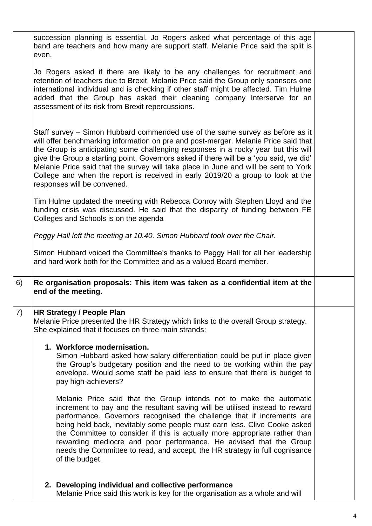succession planning is essential. Jo Rogers asked what percentage of this age band are teachers and how many are support staff. Melanie Price said the split is even.

Jo Rogers asked if there are likely to be any challenges for recruitment and retention of teachers due to Brexit. Melanie Price said the Group only sponsors one international individual and is checking if other staff might be affected. Tim Hulme added that the Group has asked their cleaning company Interserve for an assessment of its risk from Brexit repercussions.

Staff survey – Simon Hubbard commended use of the same survey as before as it will offer benchmarking information on pre and post-merger. Melanie Price said that the Group is anticipating some challenging responses in a rocky year but this will give the Group a starting point. Governors asked if there will be a 'you said, we did' Melanie Price said that the survey will take place in June and will be sent to York College and when the report is received in early 2019/20 a group to look at the responses will be convened.

Tim Hulme updated the meeting with Rebecca Conroy with Stephen Lloyd and the funding crisis was discussed. He said that the disparity of funding between FE Colleges and Schools is on the agenda

*Peggy Hall left the meeting at 10.40. Simon Hubbard took over the Chair.*

Simon Hubbard voiced the Committee's thanks to Peggy Hall for all her leadership and hard work both for the Committee and as a valued Board member.

6) **Re organisation proposals: This item was taken as a confidential item at the end of the meeting.**

## 7) **HR Strategy / People Plan**

Melanie Price presented the HR Strategy which links to the overall Group strategy. She explained that it focuses on three main strands:

## **1. Workforce modernisation.**

Simon Hubbard asked how salary differentiation could be put in place given the Group's budgetary position and the need to be working within the pay envelope. Would some staff be paid less to ensure that there is budget to pay high-achievers?

Melanie Price said that the Group intends not to make the automatic increment to pay and the resultant saving will be utilised instead to reward performance. Governors recognised the challenge that if increments are being held back, inevitably some people must earn less. Clive Cooke asked the Committee to consider if this is actually more appropriate rather than rewarding mediocre and poor performance. He advised that the Group needs the Committee to read, and accept, the HR strategy in full cognisance of the budget.

**2. Developing individual and collective performance** Melanie Price said this work is key for the organisation as a whole and will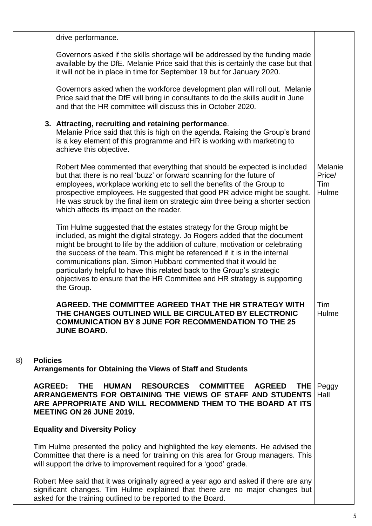|    | drive performance.                                                                                                                                                                                                                                                                                                                                                                                                                                                                                                                                       |                                   |
|----|----------------------------------------------------------------------------------------------------------------------------------------------------------------------------------------------------------------------------------------------------------------------------------------------------------------------------------------------------------------------------------------------------------------------------------------------------------------------------------------------------------------------------------------------------------|-----------------------------------|
|    | Governors asked if the skills shortage will be addressed by the funding made<br>available by the DfE. Melanie Price said that this is certainly the case but that<br>it will not be in place in time for September 19 but for January 2020.                                                                                                                                                                                                                                                                                                              |                                   |
|    | Governors asked when the workforce development plan will roll out. Melanie<br>Price said that the DfE will bring in consultants to do the skills audit in June<br>and that the HR committee will discuss this in October 2020.                                                                                                                                                                                                                                                                                                                           |                                   |
|    | 3. Attracting, recruiting and retaining performance.<br>Melanie Price said that this is high on the agenda. Raising the Group's brand<br>is a key element of this programme and HR is working with marketing to<br>achieve this objective.                                                                                                                                                                                                                                                                                                               |                                   |
|    | Robert Mee commented that everything that should be expected is included<br>but that there is no real 'buzz' or forward scanning for the future of<br>employees, workplace working etc to sell the benefits of the Group to<br>prospective employees. He suggested that good PR advice might be sought.<br>He was struck by the final item on strategic aim three being a shorter section<br>which affects its impact on the reader.                                                                                                                     | Melanie<br>Price/<br>Tim<br>Hulme |
|    | Tim Hulme suggested that the estates strategy for the Group might be<br>included, as might the digital strategy. Jo Rogers added that the document<br>might be brought to life by the addition of culture, motivation or celebrating<br>the success of the team. This might be referenced if it is in the internal<br>communications plan. Simon Hubbard commented that it would be<br>particularly helpful to have this related back to the Group's strategic<br>objectives to ensure that the HR Committee and HR strategy is supporting<br>the Group. |                                   |
|    | AGREED. THE COMMITTEE AGREED THAT THE HR STRATEGY WITH<br>THE CHANGES OUTLINED WILL BE CIRCULATED BY ELECTRONIC<br><b>COMMUNICATION BY 8 JUNE FOR RECOMMENDATION TO THE 25</b><br><b>JUNE BOARD.</b>                                                                                                                                                                                                                                                                                                                                                     | Tim<br>Hulme                      |
| 8) | <b>Policies</b><br>Arrangements for Obtaining the Views of Staff and Students                                                                                                                                                                                                                                                                                                                                                                                                                                                                            |                                   |
|    | <b>RESOURCES</b><br><b>AGREED:</b><br><b>HUMAN</b><br><b>COMMITTEE</b><br><b>THE</b><br><b>AGREED</b><br>THE.<br>ARRANGEMENTS FOR OBTAINING THE VIEWS OF STAFF AND STUDENTS<br>ARE APPROPRIATE AND WILL RECOMMEND THEM TO THE BOARD AT ITS<br><b>MEETING ON 26 JUNE 2019.</b>                                                                                                                                                                                                                                                                            | Peggy<br>Hall                     |
|    | <b>Equality and Diversity Policy</b>                                                                                                                                                                                                                                                                                                                                                                                                                                                                                                                     |                                   |
|    | Tim Hulme presented the policy and highlighted the key elements. He advised the<br>Committee that there is a need for training on this area for Group managers. This<br>will support the drive to improvement required for a 'good' grade.                                                                                                                                                                                                                                                                                                               |                                   |
|    | Robert Mee said that it was originally agreed a year ago and asked if there are any<br>significant changes. Tim Hulme explained that there are no major changes but<br>asked for the training outlined to be reported to the Board.                                                                                                                                                                                                                                                                                                                      |                                   |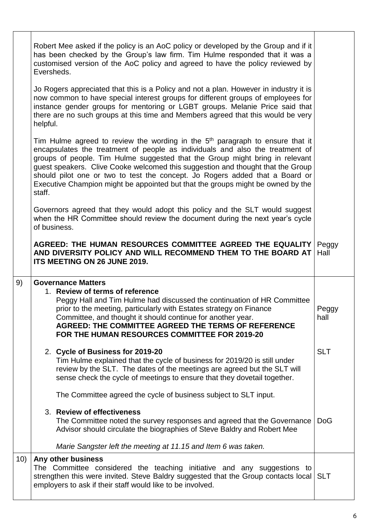|     | Robert Mee asked if the policy is an AoC policy or developed by the Group and if it<br>has been checked by the Group's law firm. Tim Hulme responded that it was a<br>customised version of the AoC policy and agreed to have the policy reviewed by<br>Eversheds.                                                                                                                                                                                                                                                         |               |
|-----|----------------------------------------------------------------------------------------------------------------------------------------------------------------------------------------------------------------------------------------------------------------------------------------------------------------------------------------------------------------------------------------------------------------------------------------------------------------------------------------------------------------------------|---------------|
|     | Jo Rogers appreciated that this is a Policy and not a plan. However in industry it is<br>now common to have special interest groups for different groups of employees for<br>instance gender groups for mentoring or LGBT groups. Melanie Price said that<br>there are no such groups at this time and Members agreed that this would be very<br>helpful.                                                                                                                                                                  |               |
|     | Tim Hulme agreed to review the wording in the 5 <sup>th</sup> paragraph to ensure that it<br>encapsulates the treatment of people as individuals and also the treatment of<br>groups of people. Tim Hulme suggested that the Group might bring in relevant<br>guest speakers. Clive Cooke welcomed this suggestion and thought that the Group<br>should pilot one or two to test the concept. Jo Rogers added that a Board or<br>Executive Champion might be appointed but that the groups might be owned by the<br>staff. |               |
|     | Governors agreed that they would adopt this policy and the SLT would suggest<br>when the HR Committee should review the document during the next year's cycle<br>of business.                                                                                                                                                                                                                                                                                                                                              |               |
|     | AGREED: THE HUMAN RESOURCES COMMITTEE AGREED THE EQUALITY<br>AND DIVERSITY POLICY AND WILL RECOMMEND THEM TO THE BOARD AT<br>ITS MEETING ON 26 JUNE 2019.                                                                                                                                                                                                                                                                                                                                                                  | Peggy<br>Hall |
| 9)  | <b>Governance Matters</b><br>1. Review of terms of reference<br>Peggy Hall and Tim Hulme had discussed the continuation of HR Committee<br>prior to the meeting, particularly with Estates strategy on Finance<br>Committee, and thought it should continue for another year.<br><b>AGREED: THE COMMITTEE AGREED THE TERMS OF REFERENCE</b><br>FOR THE HUMAN RESOURCES COMMITTEE FOR 2019-20                                                                                                                               | Peggy<br>hall |
|     | 2. Cycle of Business for 2019-20<br>Tim Hulme explained that the cycle of business for 2019/20 is still under<br>review by the SLT. The dates of the meetings are agreed but the SLT will<br>sense check the cycle of meetings to ensure that they dovetail together.                                                                                                                                                                                                                                                      | <b>SLT</b>    |
|     | The Committee agreed the cycle of business subject to SLT input.                                                                                                                                                                                                                                                                                                                                                                                                                                                           |               |
|     | 3. Review of effectiveness<br>The Committee noted the survey responses and agreed that the Governance<br>Advisor should circulate the biographies of Steve Baldry and Robert Mee                                                                                                                                                                                                                                                                                                                                           | <b>DoG</b>    |
|     | Marie Sangster left the meeting at 11.15 and Item 6 was taken.                                                                                                                                                                                                                                                                                                                                                                                                                                                             |               |
| 10) | Any other business<br>The Committee considered the teaching initiative and any suggestions to<br>strengthen this were invited. Steve Baldry suggested that the Group contacts local SLT<br>employers to ask if their staff would like to be involved.                                                                                                                                                                                                                                                                      |               |